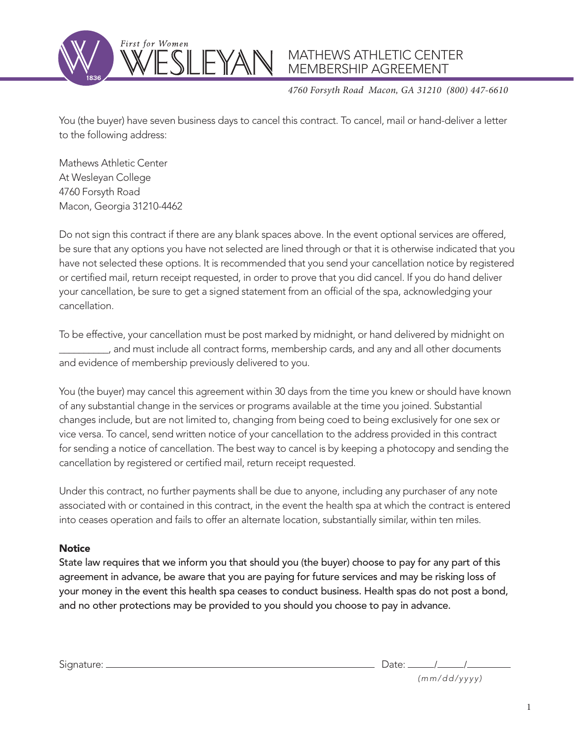

*4760 Forsyth Road Macon, GA 31210 (800) 447-6610*

You (the buyer) have seven business days to cancel this contract. To cancel, mail or hand-deliver a letter to the following address:

Mathews Athletic Center At Wesleyan College 4760 Forsyth Road Macon, Georgia 31210-4462

Do not sign this contract if there are any blank spaces above. In the event optional services are offered, be sure that any options you have not selected are lined through or that it is otherwise indicated that you have not selected these options. It is recommended that you send your cancellation notice by registered or certified mail, return receipt requested, in order to prove that you did cancel. If you do hand deliver your cancellation, be sure to get a signed statement from an official of the spa, acknowledging your cancellation.

To be effective, your cancellation must be post marked by midnight, or hand delivered by midnight on \_\_\_\_\_\_\_\_\_\_, and must include all contract forms, membership cards, and any and all other documents and evidence of membership previously delivered to you.

You (the buyer) may cancel this agreement within 30 days from the time you knew or should have known of any substantial change in the services or programs available at the time you joined. Substantial changes include, but are not limited to, changing from being coed to being exclusively for one sex or vice versa. To cancel, send written notice of your cancellation to the address provided in this contract for sending a notice of cancellation. The best way to cancel is by keeping a photocopy and sending the cancellation by registered or certified mail, return receipt requested.

Under this contract, no further payments shall be due to anyone, including any purchaser of any note associated with or contained in this contract, in the event the health spa at which the contract is entered into ceases operation and fails to offer an alternate location, substantially similar, within ten miles.

## **Notice**

State law requires that we inform you that should you (the buyer) choose to pay for any part of this agreement in advance, be aware that you are paying for future services and may be risking loss of your money in the event this health spa ceases to conduct business. Health spas do not post a bond, and no other protections may be provided to you should you choose to pay in advance.

Signature: Date: / / *(mm/dd/yyyy)*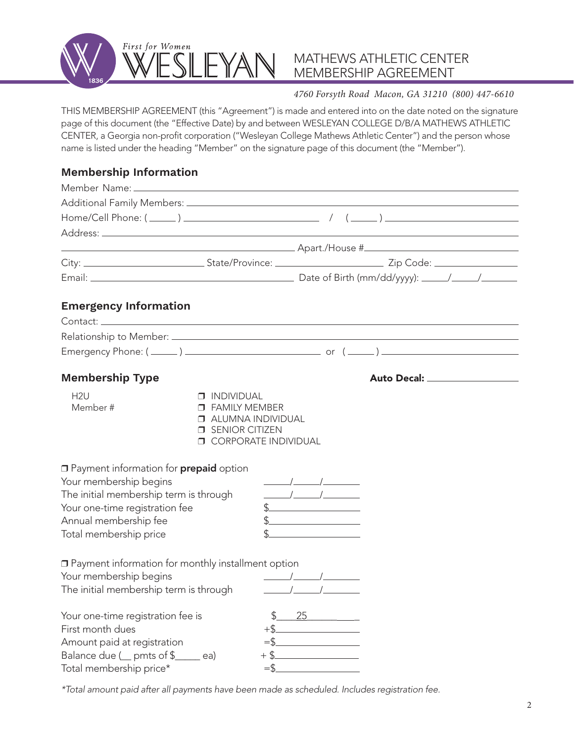

### *4760 Forsyth Road Macon, GA 31210 (800) 447-6610*

THIS MEMBERSHIP AGREEMENT (this "Agreement") is made and entered into on the date noted on the signature page of this document (the "Effective Date) by and between WESLEYAN COLLEGE D/B/A MATHEWS ATHLETIC CENTER, a Georgia non-profit corporation ("Wesleyan College Mathews Athletic Center") and the person whose name is listed under the heading "Member" on the signature page of this document (the "Member").

## **Membership Information**

| <b>Emergency Information</b>                                                                                                                                                                                                                                            |                                                                                                                                     |                                                                                                                                                                                                                                                                                                                                                                                                                                                                                                                                                                                                                                                                                                                                                                                                                                                                                                                                                                                                                                                                                                                                               |  |
|-------------------------------------------------------------------------------------------------------------------------------------------------------------------------------------------------------------------------------------------------------------------------|-------------------------------------------------------------------------------------------------------------------------------------|-----------------------------------------------------------------------------------------------------------------------------------------------------------------------------------------------------------------------------------------------------------------------------------------------------------------------------------------------------------------------------------------------------------------------------------------------------------------------------------------------------------------------------------------------------------------------------------------------------------------------------------------------------------------------------------------------------------------------------------------------------------------------------------------------------------------------------------------------------------------------------------------------------------------------------------------------------------------------------------------------------------------------------------------------------------------------------------------------------------------------------------------------|--|
|                                                                                                                                                                                                                                                                         |                                                                                                                                     |                                                                                                                                                                                                                                                                                                                                                                                                                                                                                                                                                                                                                                                                                                                                                                                                                                                                                                                                                                                                                                                                                                                                               |  |
|                                                                                                                                                                                                                                                                         |                                                                                                                                     |                                                                                                                                                                                                                                                                                                                                                                                                                                                                                                                                                                                                                                                                                                                                                                                                                                                                                                                                                                                                                                                                                                                                               |  |
|                                                                                                                                                                                                                                                                         |                                                                                                                                     |                                                                                                                                                                                                                                                                                                                                                                                                                                                                                                                                                                                                                                                                                                                                                                                                                                                                                                                                                                                                                                                                                                                                               |  |
| <b>Membership Type</b>                                                                                                                                                                                                                                                  |                                                                                                                                     |                                                                                                                                                                                                                                                                                                                                                                                                                                                                                                                                                                                                                                                                                                                                                                                                                                                                                                                                                                                                                                                                                                                                               |  |
| H2U<br>Member #                                                                                                                                                                                                                                                         | $\Box$ INDIVIDUAL<br><b>D</b> FAMILY MEMBER<br><b>J</b> ALUMNA INDIVIDUAL<br><b>SENIOR CITIZEN</b><br><b>O CORPORATE INDIVIDUAL</b> |                                                                                                                                                                                                                                                                                                                                                                                                                                                                                                                                                                                                                                                                                                                                                                                                                                                                                                                                                                                                                                                                                                                                               |  |
| <b>I</b> Payment information for <b>prepaid</b> option<br>Your membership begins<br>The initial membership term is through<br>Your one-time registration fee<br>Annual membership fee<br>Total membership price                                                         |                                                                                                                                     | $\frac{1}{\sqrt{1-\frac{1}{2}}}\frac{1}{\sqrt{1-\frac{1}{2}}}\frac{1}{\sqrt{1-\frac{1}{2}}}\frac{1}{\sqrt{1-\frac{1}{2}}}\frac{1}{\sqrt{1-\frac{1}{2}}}\frac{1}{\sqrt{1-\frac{1}{2}}}\frac{1}{\sqrt{1-\frac{1}{2}}}\frac{1}{\sqrt{1-\frac{1}{2}}}\frac{1}{\sqrt{1-\frac{1}{2}}}\frac{1}{\sqrt{1-\frac{1}{2}}}\frac{1}{\sqrt{1-\frac{1}{2}}}\frac{1}{\sqrt{1-\frac{1}{2}}}\frac{1}{\sqrt{1-\frac{1}{2}}}\frac{1}{\sqrt{1-\frac{$<br>$\begin{picture}(20,10) \put(0,0){\line(1,0){10}} \put(15,0){\line(1,0){10}} \put(15,0){\line(1,0){10}} \put(15,0){\line(1,0){10}} \put(15,0){\line(1,0){10}} \put(15,0){\line(1,0){10}} \put(15,0){\line(1,0){10}} \put(15,0){\line(1,0){10}} \put(15,0){\line(1,0){10}} \put(15,0){\line(1,0){10}} \put(15,0){\line(1,0){10}} \put(15,0){\line(1$<br>$\begin{picture}(20,10) \put(0,0){\line(1,0){10}} \put(15,0){\line(1,0){10}} \put(15,0){\line(1,0){10}} \put(15,0){\line(1,0){10}} \put(15,0){\line(1,0){10}} \put(15,0){\line(1,0){10}} \put(15,0){\line(1,0){10}} \put(15,0){\line(1,0){10}} \put(15,0){\line(1,0){10}} \put(15,0){\line(1,0){10}} \put(15,0){\line(1,0){10}} \put(15,0){\line(1$ |  |
| □ Payment information for monthly installment option<br>Your membership begins<br>The initial membership term is through<br>Your one-time registration fee is<br>First month dues<br>Amount paid at registration<br>Balance due ( pmts of \$<br>Total membership price* | $+$ \$.<br>\$.<br>$=$ \$                                                                                                            | 25<br>$\mathcal{L}^{\mathcal{L}}(\mathcal{L}^{\mathcal{L}})$ and $\mathcal{L}^{\mathcal{L}}(\mathcal{L}^{\mathcal{L}})$ and $\mathcal{L}^{\mathcal{L}}(\mathcal{L}^{\mathcal{L}})$                                                                                                                                                                                                                                                                                                                                                                                                                                                                                                                                                                                                                                                                                                                                                                                                                                                                                                                                                            |  |

*\*Total amount paid after all payments have been made as scheduled. Includes registration fee.*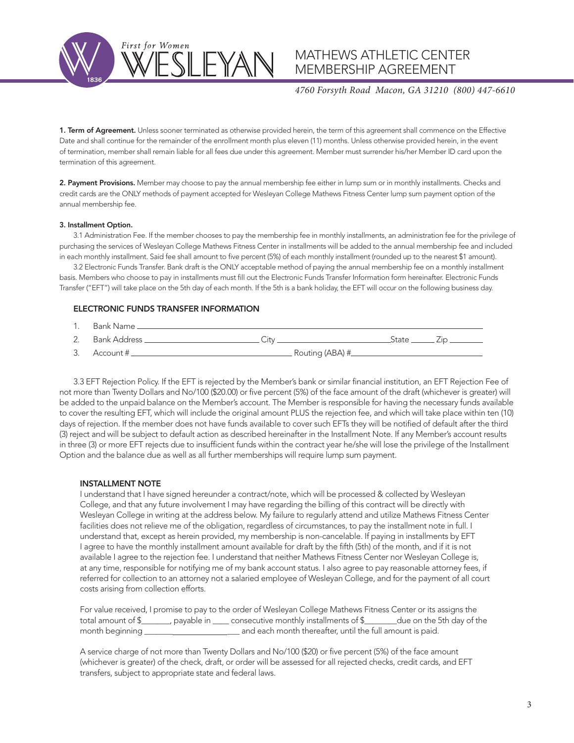First for Women

# MATHEWS ATHLETIC CENTER MEMBERSHIP AGREEMENT

#### *4760 Forsyth Road Macon, GA 31210 (800) 447-6610*

1. Term of Agreement. Unless sooner terminated as otherwise provided herein, the term of this agreement shall commence on the Effective Date and shall continue for the remainder of the enrollment month plus eleven (11) months. Unless otherwise provided herein, in the event of termination, member shall remain liable for all fees due under this agreement. Member must surrender his/her Member ID card upon the termination of this agreement.

2. Payment Provisions. Member may choose to pay the annual membership fee either in lump sum or in monthly installments. Checks and credit cards are the ONLY methods of payment accepted for Wesleyan College Mathews Fitness Center lump sum payment option of the annual membership fee.

#### 3. Installment Option.

3.1 Administration Fee. If the member chooses to pay the membership fee in monthly installments, an administration fee for the privilege of purchasing the services of Wesleyan College Mathews Fitness Center in installments will be added to the annual membership fee and included in each monthly installment. Said fee shall amount to five percent (5%) of each monthly installment (rounded up to the nearest \$1 amount).

3.2 Electronic Funds Transfer. Bank draft is the ONLY acceptable method of paying the annual membership fee on a monthly installment basis. Members who choose to pay in installments must fill out the Electronic Funds Transfer Information form hereinafter. Electronic Funds Transfer ("EFT") will take place on the 5th day of each month. If the 5th is a bank holiday, the EFT will occur on the following business day.

#### ELECTRONIC FUNDS TRANSFER INFORMATION

- 1. Bank Name
- 2. Bank Address City State Zip
- $3.$  Account  $\#$   $\qquad \qquad$  Routing (ABA)  $\#$

3.3 EFT Rejection Policy. If the EFT is rejected by the Member's bank or similar financial institution, an EFT Rejection Fee of not more than Twenty Dollars and No/100 (\$20.00) or five percent (5%) of the face amount of the draft (whichever is greater) will be added to the unpaid balance on the Member's account. The Member is responsible for having the necessary funds available to cover the resulting EFT, which will include the original amount PLUS the rejection fee, and which will take place within ten (10) days of rejection. If the member does not have funds available to cover such EFTs they will be notified of default after the third (3) reject and will be subject to default action as described hereinafter in the Installment Note. If any Member's account results in three (3) or more EFT rejects due to insufficient funds within the contract year he/she will lose the privilege of the Installment Option and the balance due as well as all further memberships will require lump sum payment.

#### INSTALLMENT NOTE

I understand that I have signed hereunder a contract/note, which will be processed & collected by Wesleyan College, and that any future involvement I may have regarding the billing of this contract will be directly with Wesleyan College in writing at the address below. My failure to regularly attend and utilize Mathews Fitness Center facilities does not relieve me of the obligation, regardless of circumstances, to pay the installment note in full. I understand that, except as herein provided, my membership is non-cancelable. If paying in installments by EFT I agree to have the monthly installment amount available for draft by the fifth (5th) of the month, and if it is not available I agree to the rejection fee. I understand that neither Mathews Fitness Center nor Wesleyan College is, at any time, responsible for notifying me of my bank account status. I also agree to pay reasonable attorney fees, if referred for collection to an attorney not a salaried employee of Wesleyan College, and for the payment of all court costs arising from collection efforts.

For value received, I promise to pay to the order of Wesleyan College Mathews Fitness Center or its assigns the total amount of \$\_\_\_\_\_\_\_, payable in \_\_\_\_ consecutive monthly installments of \$\_\_\_\_\_\_\_\_due on the 5th day of the month beginning \_\_\_\_\_\_\_\_\_\_\_\_\_\_\_\_\_\_\_\_\_\_\_\_\_\_\_\_ and each month thereafter, until the full amount is paid.

A service charge of not more than Twenty Dollars and No/100 (\$20) or five percent (5%) of the face amount (whichever is greater) of the check, draft, or order will be assessed for all rejected checks, credit cards, and EFT transfers, subject to appropriate state and federal laws.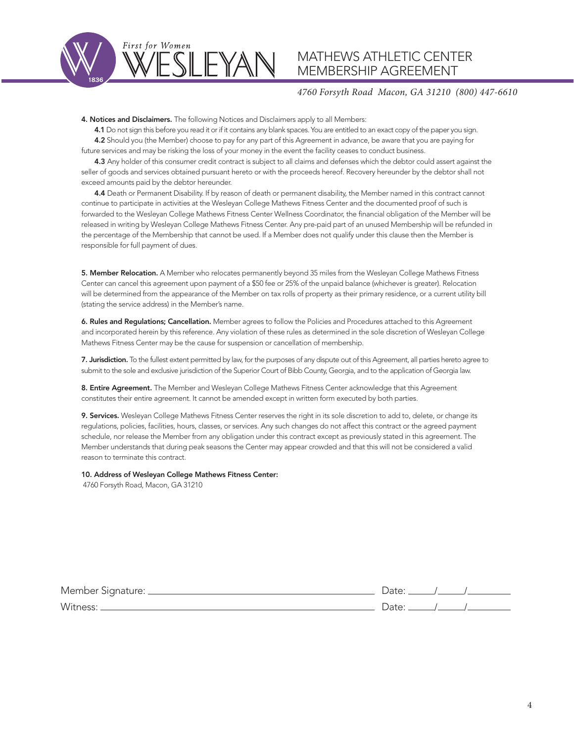

#### *4760 Forsyth Road Macon, GA 31210 (800) 447-6610*

4. Notices and Disclaimers. The following Notices and Disclaimers apply to all Members:

4.1 Do not sign this before you read it or if it contains any blank spaces. You are entitled to an exact copy of the paper you sign. 4.2 Should you (the Member) choose to pay for any part of this Agreement in advance, be aware that you are paying for future services and may be risking the loss of your money in the event the facility ceases to conduct business.

4.3 Any holder of this consumer credit contract is subject to all claims and defenses which the debtor could assert against the seller of goods and services obtained pursuant hereto or with the proceeds hereof. Recovery hereunder by the debtor shall not exceed amounts paid by the debtor hereunder.

4.4 Death or Permanent Disability. If by reason of death or permanent disability, the Member named in this contract cannot continue to participate in activities at the Wesleyan College Mathews Fitness Center and the documented proof of such is forwarded to the Wesleyan College Mathews Fitness Center Wellness Coordinator, the financial obligation of the Member will be released in writing by Wesleyan College Mathews Fitness Center. Any pre-paid part of an unused Membership will be refunded in the percentage of the Membership that cannot be used. If a Member does not qualify under this clause then the Member is responsible for full payment of dues.

5. Member Relocation. A Member who relocates permanently beyond 35 miles from the Wesleyan College Mathews Fitness Center can cancel this agreement upon payment of a \$50 fee or 25% of the unpaid balance (whichever is greater). Relocation will be determined from the appearance of the Member on tax rolls of property as their primary residence, or a current utility bill (stating the service address) in the Member's name.

6. Rules and Regulations; Cancellation. Member agrees to follow the Policies and Procedures attached to this Agreement and incorporated herein by this reference. Any violation of these rules as determined in the sole discretion of Wesleyan College Mathews Fitness Center may be the cause for suspension or cancellation of membership.

7. Jurisdiction. To the fullest extent permitted by law, for the purposes of any dispute out of this Agreement, all parties hereto agree to submit to the sole and exclusive jurisdiction of the Superior Court of Bibb County, Georgia, and to the application of Georgia law.

8. Entire Agreement. The Member and Wesleyan College Mathews Fitness Center acknowledge that this Agreement constitutes their entire agreement. It cannot be amended except in written form executed by both parties.

9. Services. Wesleyan College Mathews Fitness Center reserves the right in its sole discretion to add to, delete, or change its regulations, policies, facilities, hours, classes, or services. Any such changes do not affect this contract or the agreed payment schedule, nor release the Member from any obligation under this contract except as previously stated in this agreement. The Member understands that during peak seasons the Center may appear crowded and that this will not be considered a valid reason to terminate this contract.

#### 10. Address of Wesleyan College Mathews Fitness Center:

4760 Forsyth Road, Macon, GA 31210

| Member Signature: _ |  |  |
|---------------------|--|--|
| Witness:            |  |  |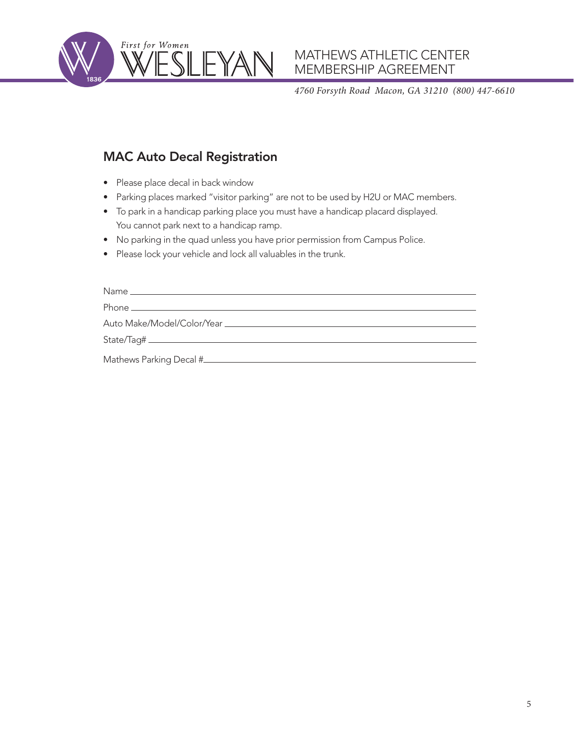

*4760 Forsyth Road Macon, GA 31210 (800) 447-6610*

# MAC Auto Decal Registration

- Please place decal in back window
- Parking places marked "visitor parking" are not to be used by H2U or MAC members.
- To park in a handicap parking place you must have a handicap placard displayed. You cannot park next to a handicap ramp.
- No parking in the quad unless you have prior permission from Campus Police.
- Please lock your vehicle and lock all valuables in the trunk.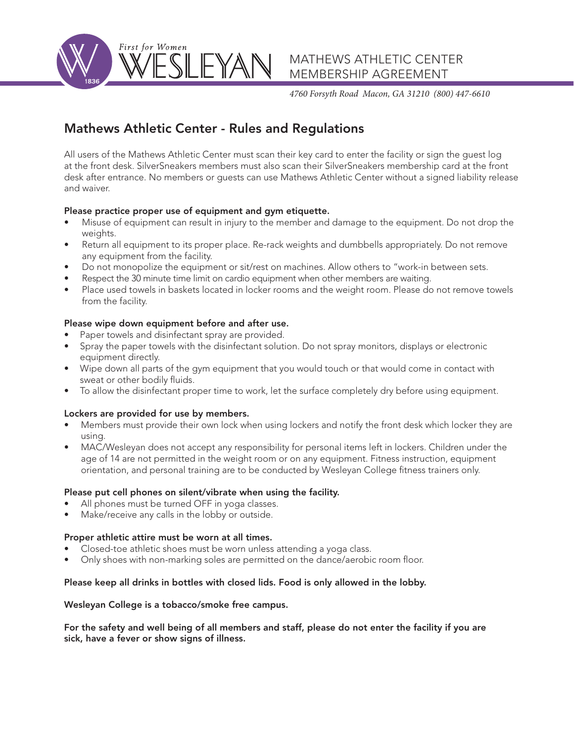

*4760 Forsyth Road Macon, GA 31210 (800) 447-6610*

# Mathews Athletic Center - Rules and Regulations

All users of the Mathews Athletic Center must scan their key card to enter the facility or sign the guest log at the front desk. SilverSneakers members must also scan their SilverSneakers membership card at the front desk after entrance. No members or guests can use Mathews Athletic Center without a signed liability release and waiver.

### Please practice proper use of equipment and gym etiquette.

- Misuse of equipment can result in injury to the member and damage to the equipment. Do not drop the weights.
- Return all equipment to its proper place. Re-rack weights and dumbbells appropriately. Do not remove any equipment from the facility.
- Do not monopolize the equipment or sit/rest on machines. Allow others to "work-in between sets.
- Respect the 30 minute time limit on cardio equipment when other members are waiting.
- Place used towels in baskets located in locker rooms and the weight room. Please do not remove towels from the facility.

## Please wipe down equipment before and after use.

- Paper towels and disinfectant spray are provided.
- Spray the paper towels with the disinfectant solution. Do not spray monitors, displays or electronic equipment directly.
- Wipe down all parts of the gym equipment that you would touch or that would come in contact with sweat or other bodily fluids.
- To allow the disinfectant proper time to work, let the surface completely dry before using equipment.

### Lockers are provided for use by members.

- Members must provide their own lock when using lockers and notify the front desk which locker they are using.
- MAC/Wesleyan does not accept any responsibility for personal items left in lockers. Children under the age of 14 are not permitted in the weight room or on any equipment. Fitness instruction, equipment orientation, and personal training are to be conducted by Wesleyan College fitness trainers only.

### Please put cell phones on silent/vibrate when using the facility.

- All phones must be turned OFF in yoga classes.
- Make/receive any calls in the lobby or outside.

### Proper athletic attire must be worn at all times.

- Closed-toe athletic shoes must be worn unless attending a yoga class.
- Only shoes with non-marking soles are permitted on the dance/aerobic room floor.

## Please keep all drinks in bottles with closed lids. Food is only allowed in the lobby.

### Wesleyan College is a tobacco/smoke free campus.

For the safety and well being of all members and staff, please do not enter the facility if you are sick, have a fever or show signs of illness.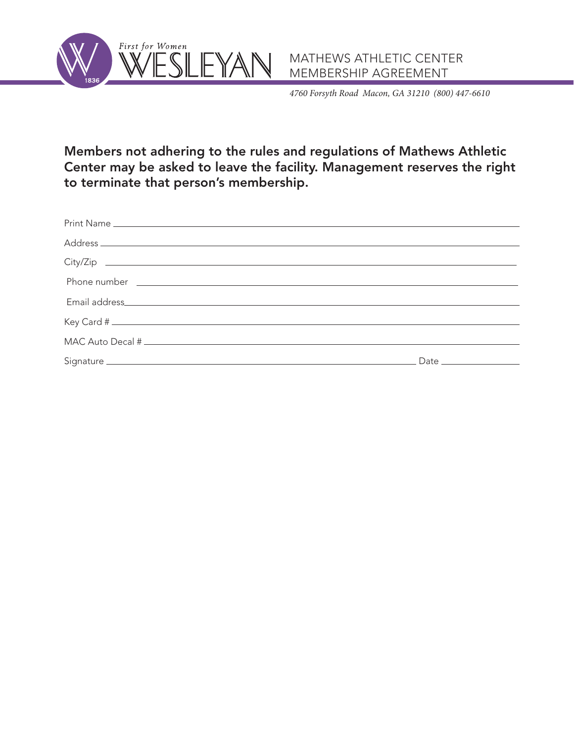



*4760 Forsyth Road Macon, GA 31210 (800) 447-6610*

Members not adhering to the rules and regulations of Mathews Athletic Center may be asked to leave the facility. Management reserves the right to terminate that person's membership.

| Phone number <u>experience</u> and the contract of the contract of the contract of the contract of the contract of the contract of the contract of the contract of the contract of the contract of the contract of the contract of |  |
|------------------------------------------------------------------------------------------------------------------------------------------------------------------------------------------------------------------------------------|--|
|                                                                                                                                                                                                                                    |  |
|                                                                                                                                                                                                                                    |  |
|                                                                                                                                                                                                                                    |  |
|                                                                                                                                                                                                                                    |  |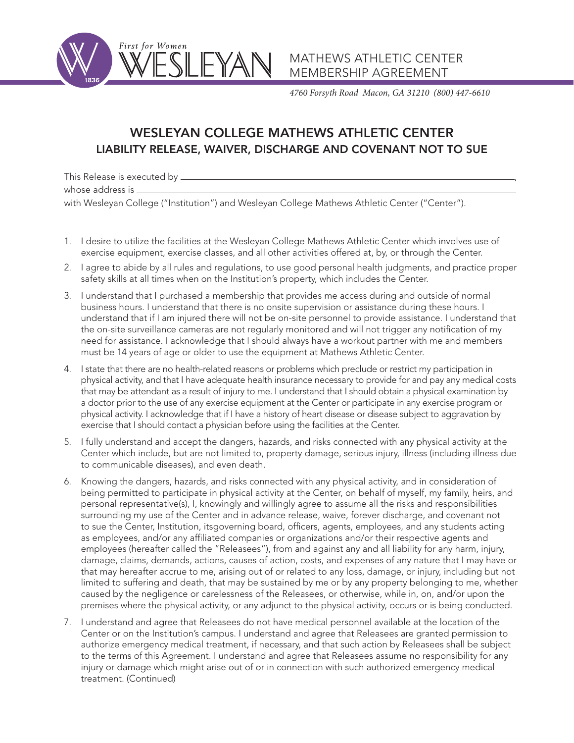

*4760 Forsyth Road Macon, GA 31210 (800) 447-6610*

# WESLEYAN COLLEGE MATHEWS ATHLETIC CENTER LIABILITY RELEASE, WAIVER, DISCHARGE AND COVENANT NOT TO SUE

This Release is executed by \_\_ whose address is  $\equiv$ with Wesleyan College ("Institution") and Wesleyan College Mathews Athletic Center ("Center").

- 1. I desire to utilize the facilities at the Wesleyan College Mathews Athletic Center which involves use of exercise equipment, exercise classes, and all other activities offered at, by, or through the Center.
- 2. I agree to abide by all rules and regulations, to use good personal health judgments, and practice proper safety skills at all times when on the Institution's property, which includes the Center.
- 3. I understand that I purchased a membership that provides me access during and outside of normal business hours. I understand that there is no onsite supervision or assistance during these hours. I understand that if I am injured there will not be on-site personnel to provide assistance. I understand that the on-site surveillance cameras are not regularly monitored and will not trigger any notification of my need for assistance. I acknowledge that I should always have a workout partner with me and members must be 14 years of age or older to use the equipment at Mathews Athletic Center.
- 4. I state that there are no health-related reasons or problems which preclude or restrict my participation in physical activity, and that I have adequate health insurance necessary to provide for and pay any medical costs that may be attendant as a result of injury to me. I understand that I should obtain a physical examination by a doctor prior to the use of any exercise equipment at the Center or participate in any exercise program or physical activity. I acknowledge that if I have a history of heart disease or disease subject to aggravation by exercise that I should contact a physician before using the facilities at the Center.
- 5. I fully understand and accept the dangers, hazards, and risks connected with any physical activity at the Center which include, but are not limited to, property damage, serious injury, illness (including illness due to communicable diseases), and even death.
- 6. Knowing the dangers, hazards, and risks connected with any physical activity, and in consideration of being permitted to participate in physical activity at the Center, on behalf of myself, my family, heirs, and personal representative(s), I, knowingly and willingly agree to assume all the risks and responsibilities surrounding my use of the Center and in advance release, waive, forever discharge, and covenant not to sue the Center, Institution, itsgoverning board, officers, agents, employees, and any students acting as employees, and/or any affiliated companies or organizations and/or their respective agents and employees (hereafter called the "Releasees"), from and against any and all liability for any harm, injury, damage, claims, demands, actions, causes of action, costs, and expenses of any nature that I may have or that may hereafter accrue to me, arising out of or related to any loss, damage, or injury, including but not limited to suffering and death, that may be sustained by me or by any property belonging to me, whether caused by the negligence or carelessness of the Releasees, or otherwise, while in, on, and/or upon the premises where the physical activity, or any adjunct to the physical activity, occurs or is being conducted.
- 7. I understand and agree that Releasees do not have medical personnel available at the location of the Center or on the Institution's campus. I understand and agree that Releasees are granted permission to authorize emergency medical treatment, if necessary, and that such action by Releasees shall be subject to the terms of this Agreement. I understand and agree that Releasees assume no responsibility for any injury or damage which might arise out of or in connection with such authorized emergency medical treatment. (Continued)